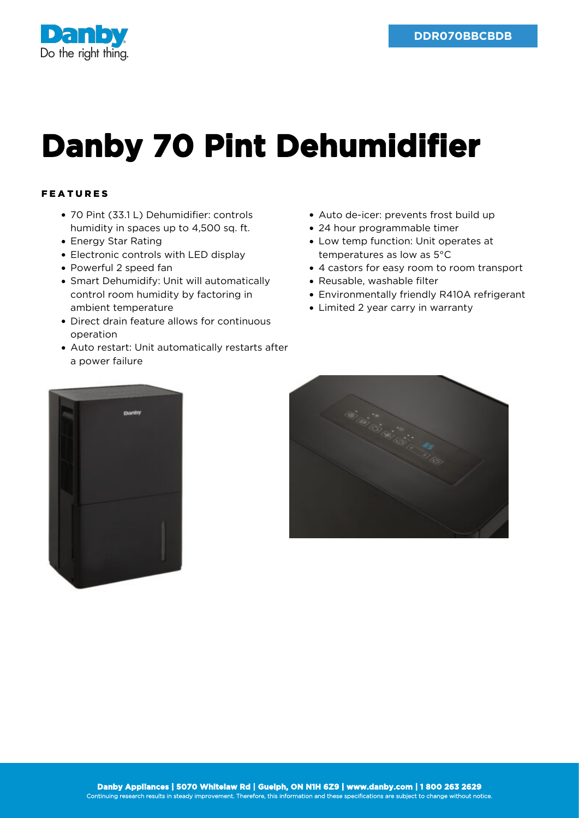

## **Danby 70 Pint Dehumidifier**

## FEATURES

- 70 Pint (33.1 L) Dehumidifier: controls humidity in spaces up to 4,500 sq. ft.
- Energy Star Rating
- Electronic controls with LED display
- Powerful 2 speed fan
- Smart Dehumidify: Unit will automatically control room humidity by factoring in ambient temperature
- Direct drain feature allows for continuous operation
- Auto restart: Unit automatically restarts after a power failure
- Auto de-icer: prevents frost build up
- 24 hour programmable timer
- Low temp function: Unit operates at temperatures as low as 5°C
- 4 castors for easy room to room transport
- Reusable, washable filter
- Environmentally friendly R410A refrigerant
- Limited 2 year carry in warranty